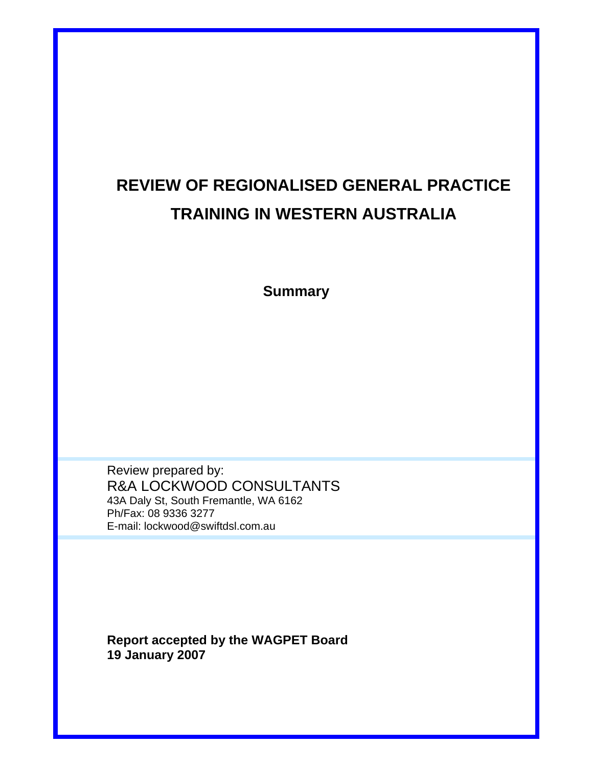## **REVIEW OF REGIONALISED GENERAL PRACTICE TRAINING IN WESTERN AUSTRALIA**

**Summary** 

Review prepared by: R&A LOCKWOOD CONSULTANTS 43A Daly St, South Fremantle, WA 6162 Ph/Fax: 08 9336 3277 E-mail: lockwood@swiftdsl.com.au

**Report accepted by the WAGPET Board 19 January 2007** 

I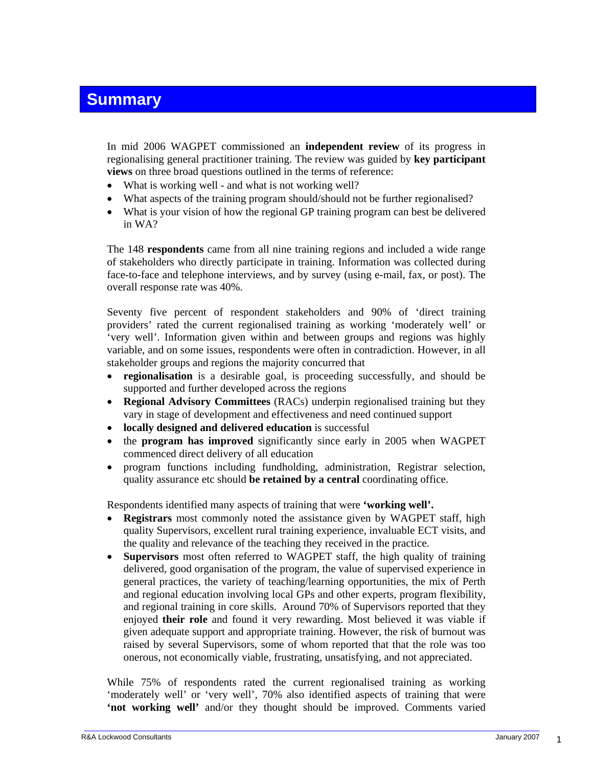## **Summary**

In mid 2006 WAGPET commissioned an **independent review** of its progress in regionalising general practitioner training. The review was guided by **key participant views** on three broad questions outlined in the terms of reference:

- What is working well and what is not working well?
- What aspects of the training program should/should not be further regionalised?
- What is your vision of how the regional GP training program can best be delivered in WA?

The 148 **respondents** came from all nine training regions and included a wide range of stakeholders who directly participate in training. Information was collected during face-to-face and telephone interviews, and by survey (using e-mail, fax, or post). The overall response rate was 40%.

Seventy five percent of respondent stakeholders and 90% of 'direct training providers' rated the current regionalised training as working 'moderately well' or 'very well'. Information given within and between groups and regions was highly variable, and on some issues, respondents were often in contradiction. However, in all stakeholder groups and regions the majority concurred that

- **regionalisation** is a desirable goal, is proceeding successfully, and should be supported and further developed across the regions
- **Regional Advisory Committees** (RACs) underpin regionalised training but they vary in stage of development and effectiveness and need continued support
- **locally designed and delivered education** is successful
- the **program has improved** significantly since early in 2005 when WAGPET commenced direct delivery of all education
- program functions including fundholding, administration, Registrar selection, quality assurance etc should **be retained by a central** coordinating office.

Respondents identified many aspects of training that were **'working well'.** 

- **Registrars** most commonly noted the assistance given by WAGPET staff, high quality Supervisors, excellent rural training experience, invaluable ECT visits, and the quality and relevance of the teaching they received in the practice.
- **Supervisors** most often referred to WAGPET staff, the high quality of training delivered, good organisation of the program, the value of supervised experience in general practices, the variety of teaching/learning opportunities, the mix of Perth and regional education involving local GPs and other experts, program flexibility, and regional training in core skills. Around 70% of Supervisors reported that they enjoyed **their role** and found it very rewarding. Most believed it was viable if given adequate support and appropriate training. However, the risk of burnout was raised by several Supervisors, some of whom reported that that the role was too onerous, not economically viable, frustrating, unsatisfying, and not appreciated.

While 75% of respondents rated the current regionalised training as working 'moderately well' or 'very well', 70% also identified aspects of training that were **'not working well'** and/or they thought should be improved. Comments varied